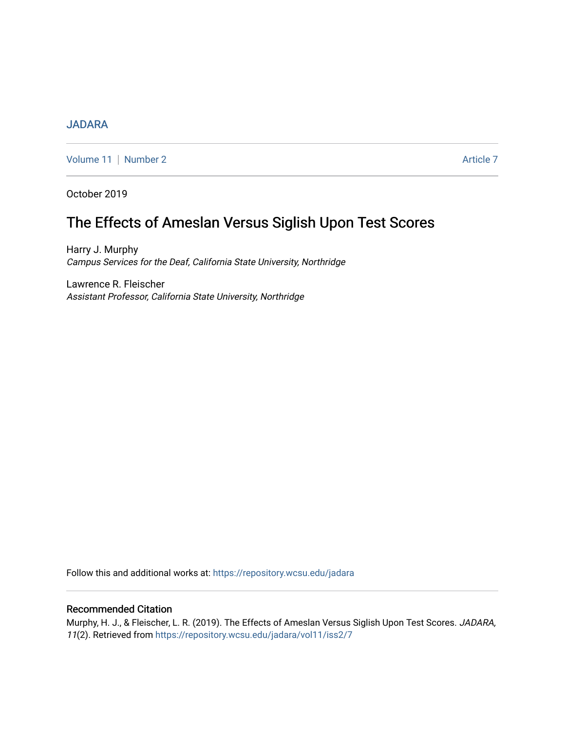# [JADARA](https://repository.wcsu.edu/jadara)

[Volume 11](https://repository.wcsu.edu/jadara/vol11) | [Number 2](https://repository.wcsu.edu/jadara/vol11/iss2) Article 7

October 2019

# The Effects of Ameslan Versus Siglish Upon Test Scores

Harry J. Murphy Campus Services for the Deaf, California State University, Northridge

Lawrence R. Fleischer Assistant Professor, California State University, Northridge

Follow this and additional works at: [https://repository.wcsu.edu/jadara](https://repository.wcsu.edu/jadara?utm_source=repository.wcsu.edu%2Fjadara%2Fvol11%2Fiss2%2F7&utm_medium=PDF&utm_campaign=PDFCoverPages)

# Recommended Citation

Murphy, H. J., & Fleischer, L. R. (2019). The Effects of Ameslan Versus Siglish Upon Test Scores. JADARA, 11(2). Retrieved from [https://repository.wcsu.edu/jadara/vol11/iss2/7](https://repository.wcsu.edu/jadara/vol11/iss2/7?utm_source=repository.wcsu.edu%2Fjadara%2Fvol11%2Fiss2%2F7&utm_medium=PDF&utm_campaign=PDFCoverPages)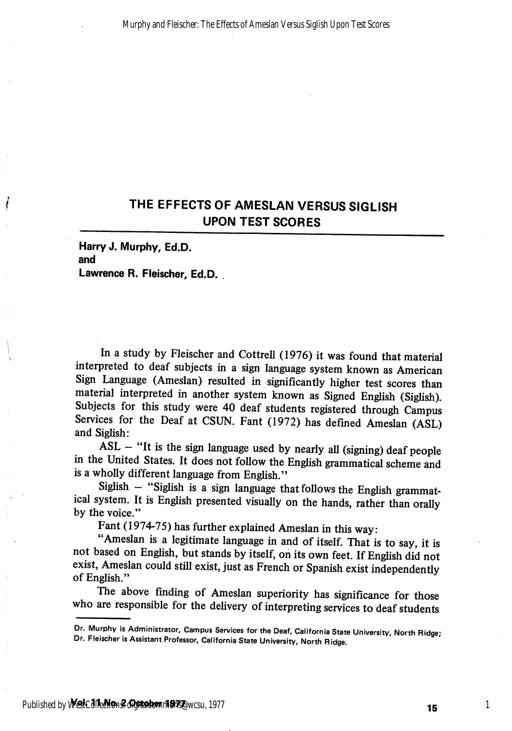# THE EFFECTS OF AMESLAN VERSUS SIGLISH UPON TEST SCORES

Harty J. Murphy, Ed.D. and Lawrence R. Fleischer, Ed.D. .

In a study by Fleischer and Cottrell (1976) it was found that material interpreted to deaf subjects in a sign language system known as American Sign Lanpage (Ameslan) resulted in significantly higher test scores than material interpreted in another system known as Signed English (Siglish). Subjects for this study were 40 deaf students registered through Campus Services for the Deaf at CSUN. Fant (1972) has defined Ameslan (ASL) and Siglish:

 $ASL - "It is the sign language used by nearly all (signing)  $\text{deaf people}$$ in the United States. It does not follow the English grammatical scheme and is a wholly different language from English."

Siglish - "Siglish is a sign language that follows the English grammatical system. It is English presented visually on the hands, rather than orally by the voice."

Fant (1974-75) has further explained Ameslan in this way:

"Ameslan is a legitimate language in and of itself. That is to say, it is not based on English, but stands by itself, on its own feet. If English did not exist, Ameslan could still exist, just as French or Spanish exist independently of English."

The above finding of Ameslan superiority has significance for those who are responsible for the delivery of interpreting services to deaf students

Dr. Murphy is Administrator, Campus Services for the Deaf, California State University, North Ridge; Dr. Fleischer is Assistant Professor, California State University, North Ridge.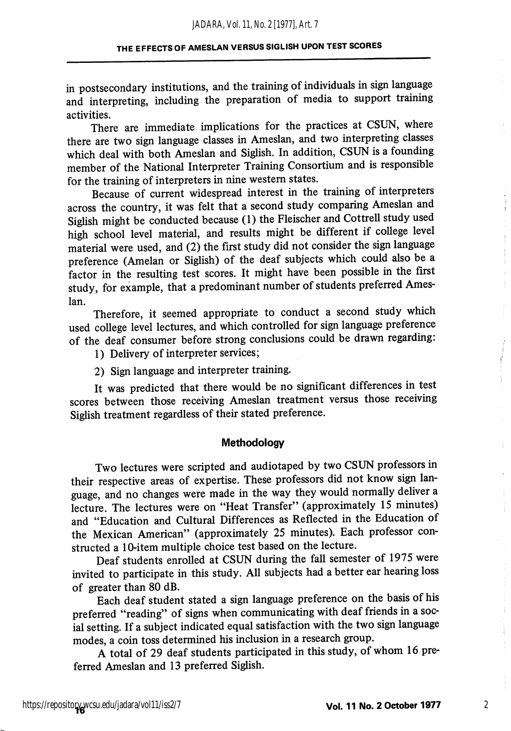#### THE EFFECTS OF AMESLAN VERSUS SIGLISH UPON TEST SCORES

in postsecondary institutions, and the training of individuals in sign language and interpreting, including the preparation of media to support training activities.

There are immediate implications for the practices at CSUN, where there are two sign language classes in Ameslan, and two interpreting classes which deal with both Ameslan and Siglish. In addition, CSUN is a founding member of the National Interpreter Training Consortium and is responsible for the training of interpreters in nine western states.

Because of current widespread interest in the training of interpreters across the country, it was felt that a second study comparing Ameslan and Siglish might be conducted because (1) the Fleischer and Cottrell study used high school level material, and results might be different if college level material were used, and (2) the first study did not consider the sign language preference (Amelan or Siglish) of the deaf subjects which could also be a factor in the resulting test scores. It might have been possible in the first study, for example, that a predominant number of students preferred Ames lan.

Therefore, it seemed appropriate to conduct a second study which used college level lectures, and which controlled for sign language preference of the deaf consumer before strong conclusions could be drawn regarding:

1) Delivery of interpreter services;

2) Sign language and interpreter training.

It was predicted that there would be no significant differences in test scores between those receiving Ameslan treatment versus those receiving Siglish treatment regardless of their stated preference.

#### Methodology

Two lectures were scripted and audiotaped by two CSUN professors in their respective areas of expertise. These professors did not know sign lan guage, and no changes were made in the way they would normally deliver a lecture. The lectures were on "Heat Transfer" (approximately 15 minutes) and "Education and Cultural Differences as Reflected in the Education of the Mexican American" (approximately 25 minutes). Each professor con structed a 10-item multiple choice test based on the lecture.

Deaf students enrolled at CSUN during the fall semester of 1975 were invited to participate in this study. All subjects had a better ear hearing loss of greater than 80 dB.

Each deaf student stated a sign language preference on the basis of his preferred "reading" of signs when communicating with deaf friends in a soc ial setting. If a subject indicated equal satisfaction with the two sign language modes, a coin toss determined his inclusion in a research group.

A total of 29 deaf students participated in this study, of whom 16 pre ferred Ameslan and 13 preferred Siglish.

ŧ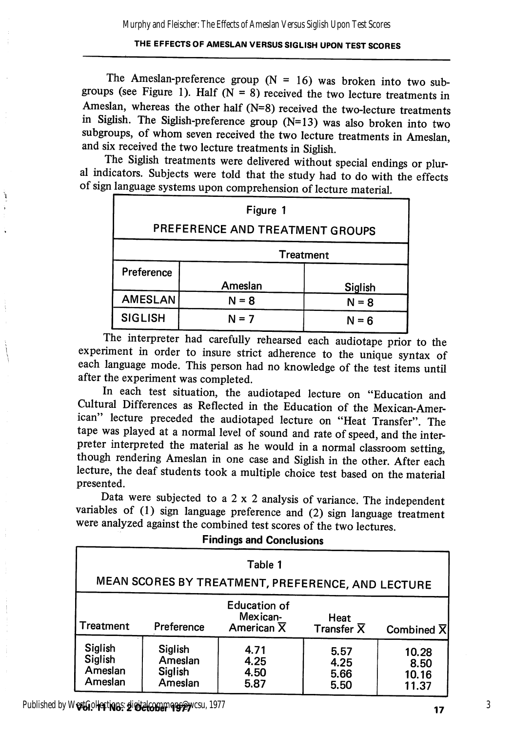### THE EFFECTS OF AMESLAN VERSUS SIGLISH UPON TEST SCORES

The Ameslan-preference group  $(N = 16)$  was broken into two subgroups (see Figure 1). Half ( $N = 8$ ) received the two lecture treatments in Ameslan, whereas the other half (N=8) received the two-lecture treatments in Siglish. The Siglish-preference group (N=13) was also broken into two subgroups, of whom seven received the two lecture treatments in Ameslan, and six received the two lecture treatments in Siglish.

The Siglish treatments were delivered without special endings or plur al indicators. Subjects were told that the study had to do with the effects

| Figure 1                        |         |         |  |  |  |  |
|---------------------------------|---------|---------|--|--|--|--|
| PREFERENCE AND TREATMENT GROUPS |         |         |  |  |  |  |
| <b>Treatment</b>                |         |         |  |  |  |  |
| Preference                      |         |         |  |  |  |  |
|                                 | Ameslan | Siglish |  |  |  |  |
| <b>AMESLAN</b>                  | $N = 8$ | $N = 8$ |  |  |  |  |
| <b>SIGLISH</b>                  | $N = 7$ | $N = 6$ |  |  |  |  |

The interpreter had carefully rehearsed each audiotape prior to the experiment in order to insure strict adherence to the unique syntax of each language mode. This person had no knowledge of the test items until after the experiment was completed.

In each test situation, the audiotaped lecture on "Education and Cultural Differences as Reflected in the Education of the Mexican-Amer ican" lecture preceded the audiotaped lecture on "Heat Transfer". The tape was played at a normal level of sound and rate of speed, and the inter preter interpreted the material as he would in a normal classroom setting, though rendering Ameslan in one case and Siglish in the other. After each lecture, the deaf students took a multiple choice test based on the material presented.

Data were subjected to a  $2 \times 2$  analysis of variance. The independent variables of (1) sign language preference and (2) sign language treatment were analyzed against the combined test scores of the two lectures.

Findings and Conclusions

| Table 1<br>MEAN SCORES BY TREATMENT, PREFERENCE, AND LECTURE |                                          |                                                            |                                 |                                 |  |  |  |  |
|--------------------------------------------------------------|------------------------------------------|------------------------------------------------------------|---------------------------------|---------------------------------|--|--|--|--|
| Treatment                                                    | Preference                               | <b>Education of</b><br>Mexican-<br>American $\overline{X}$ | Heat<br>Transfer $\overline{X}$ | Combined $\overline{X}$         |  |  |  |  |
| Siglish<br>Siglish<br>Ameslan<br>Ameslan                     | Siglish<br>Ameslan<br>Siglish<br>Ameslan | 4.71<br>4.25<br>4.50<br>5.87                               | 5.57<br>4.25<br>5.66<br>5.50    | 10.28<br>8.50<br>10.16<br>11.37 |  |  |  |  |